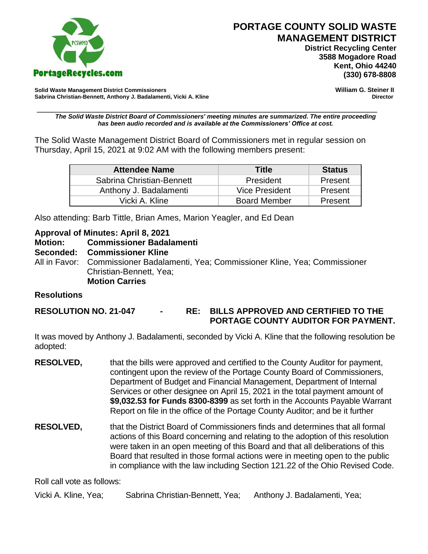

 **District Recycling Center 3588 Mogadore Road Kent, Ohio 44240**

**Solid Waste Management District Commissioners William G. Steiner II** Sabrina Christian-Bennett, Anthony J. Badalamenti, Vicki A. Kline

\_\_\_\_\_\_\_\_\_\_\_\_\_\_\_\_\_\_\_\_\_\_\_\_\_\_\_\_\_\_\_\_\_\_\_\_\_\_\_\_\_\_\_\_\_\_\_\_\_\_\_\_\_\_\_\_\_\_\_\_\_\_\_\_\_\_\_\_\_\_\_\_\_ *The Solid Waste District Board of Commissioners' meeting minutes are summarized. The entire proceeding has been audio recorded and is available at the Commissioners' Office at cost.*

The Solid Waste Management District Board of Commissioners met in regular session on Thursday, April 15, 2021 at 9:02 AM with the following members present:

| <b>Attendee Name</b>      | <b>Title</b>        | <b>Status</b> |
|---------------------------|---------------------|---------------|
| Sabrina Christian-Bennett | President           | Present       |
| Anthony J. Badalamenti    | Vice President      | Present       |
| Vicki A. Kline            | <b>Board Member</b> | Present       |

Also attending: Barb Tittle, Brian Ames, Marion Yeagler, and Ed Dean

#### **Approval of Minutes: April 8, 2021**

**Motion: Commissioner Badalamenti Seconded: Commissioner Kline** All in Favor: Commissioner Badalamenti, Yea; Commissioner Kline, Yea; Commissioner Christian-Bennett, Yea; **Motion Carries**

### **Resolutions**

### **RESOLUTION NO. 21-047 - RE: BILLS APPROVED AND CERTIFIED TO THE PORTAGE COUNTY AUDITOR FOR PAYMENT.**

It was moved by Anthony J. Badalamenti, seconded by Vicki A. Kline that the following resolution be adopted:

- **RESOLVED,** that the bills were approved and certified to the County Auditor for payment, contingent upon the review of the Portage County Board of Commissioners, Department of Budget and Financial Management, Department of Internal Services or other designee on April 15, 2021 in the total payment amount of **\$9,032.53 for Funds 8300-8399** as set forth in the Accounts Payable Warrant Report on file in the office of the Portage County Auditor; and be it further
- **RESOLVED,** that the District Board of Commissioners finds and determines that all formal actions of this Board concerning and relating to the adoption of this resolution were taken in an open meeting of this Board and that all deliberations of this Board that resulted in those formal actions were in meeting open to the public in compliance with the law including Section 121.22 of the Ohio Revised Code.

Roll call vote as follows:

Vicki A. Kline, Yea; Sabrina Christian-Bennett, Yea; Anthony J. Badalamenti, Yea;